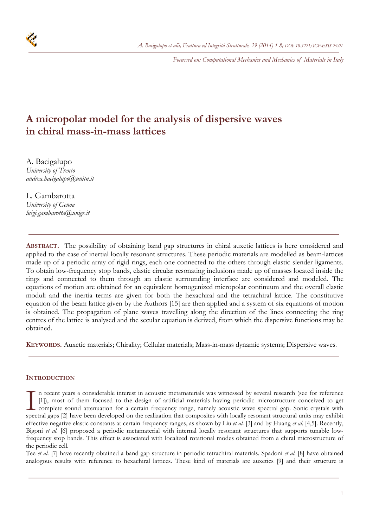*Focussed on: Computational Mechanics and Mechanics of Materials in Italy* 



# **A micropolar model for the analysis of dispersive waves in chiral mass-in-mass lattices**

A. Bacigalupo *University of Trento andrea.bacigalupo@unitn.it* 

L. Gambarotta *University of Genoa luigi.gambarotta@unige.it* 

**ABSTRACT.** The possibility of obtaining band gap structures in chiral auxetic lattices is here considered and applied to the case of inertial locally resonant structures. These periodic materials are modelled as beam-lattices made up of a periodic array of rigid rings, each one connected to the others through elastic slender ligaments. To obtain low-frequency stop bands, elastic circular resonating inclusions made up of masses located inside the rings and connected to them through an elastic surrounding interface are considered and modeled. The equations of motion are obtained for an equivalent homogenized micropolar continuum and the overall elastic moduli and the inertia terms are given for both the hexachiral and the tetrachiral lattice. The constitutive equation of the beam lattice given by the Authors [15] are then applied and a system of six equations of motion is obtained. The propagation of plane waves travelling along the direction of the lines connecting the ring centres of the lattice is analysed and the secular equation is derived, from which the dispersive functions may be obtained.

**KEYWORDS.** Auxetic materials; Chirality; Cellular materials; Mass-in-mass dynamic systems; Dispersive waves.

# **INTRODUCTION**

n recent years a considerable interest in acoustic metamaterials was witnessed by several research (see for reference [1]), most of them focused to the design of artificial materials having periodic microstructure conceived to get complete sound attenuation for a certain frequency range, namely acoustic wave spectral gap. Sonic crystals with In recent years a considerable interest in acoustic metamaterials was witnessed by several research (see for reference [1]), most of them focused to the design of artificial materials having periodic microstructure conceiv effective negative elastic constants at certain frequency ranges, as shown by Liu *et al.* [3] and by Huang *et al.* [4,5]. Recently, Bigoni *et al.* [6] proposed a periodic metamaterial with internal locally resonant structures that supports tunable lowfrequency stop bands. This effect is associated with localized rotational modes obtained from a chiral microstructure of the periodic cell.

Tee *et al.* [7] have recently obtained a band gap structure in periodic tetrachiral materials. Spadoni *et al.* [8] have obtained analogous results with reference to hexachiral lattices. These kind of materials are auxetics [9] and their structure is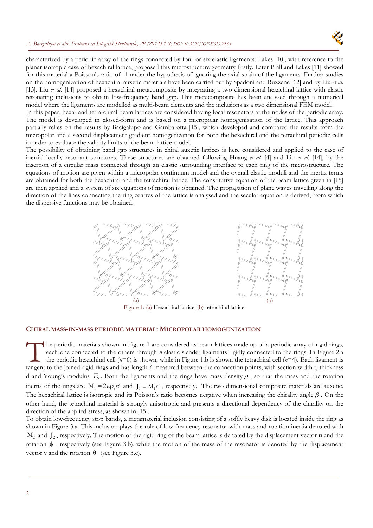

characterized by a periodic array of the rings connected by four or six elastic ligaments. Lakes [10], with reference to the planar isotropic case of hexachiral lattice, proposed this microstructure geometry firstly. Later Prall and Lakes [11] showed for this material a Poisson's ratio of -1 under the hypothesis of ignoring the axial strain of the ligaments. Further studies on the homogenization of hexachiral auxetic materials have been carried out by Spadoni and Ruzzene [12] and by Liu *et al.* [13]. Liu *et al.* [14] proposed a hexachiral metacomposite by integrating a two-dimensional hexachiral lattice with elastic resonating inclusions to obtain low-frequency band gap. This metacomposite has been analysed through a numerical model where the ligaments are modelled as multi-beam elements and the inclusions as a two dimensional FEM model.

In this paper, hexa- and tetra-chiral beam lattices are considered having local resonators at the nodes of the periodic array. The model is developed in closed-form and is based on a micropolar homogenization of the lattice. This approach partially relies on the results by Bacigalupo and Gambarotta [15], which developed and compared the results from the micropolar and a second displacement gradient homogenization for both the hexachiral and the tetrachiral periodic cells in order to evaluate the validity limits of the beam lattice model.

The possibility of obtaining band gap structures in chiral auxetic lattices is here considered and applied to the case of inertial locally resonant structures. These structures are obtained following Huang *et al.* [4] and Liu *et al.* [14], by the insertion of a circular mass connected through an elastic surrounding interface to each ring of the microstructure. The equations of motion are given within a micropolar continuum model and the overall elastic moduli and the inertia terms are obtained for both the hexachiral and the tetrachiral lattice. The constitutive equation of the beam lattice given in [15] are then applied and a system of six equations of motion is obtained. The propagation of plane waves travelling along the direction of the lines connecting the ring centres of the lattice is analysed and the secular equation is derived, from which the dispersive functions may be obtained.



Figure 1: (a) Hexachiral lattice; (b) tetrachiral lattice.

## **CHIRAL MASS-IN-MASS PERIODIC MATERIAL: MICROPOLAR HOMOGENIZATION**

he periodic materials shown in Figure 1 are considered as beam-lattices made up of a periodic array of rigid rings, each one connected to the others through *n* elastic slender ligaments rigidly connected to the rings. In Figure 2.a the periodic hexachiral cell (*n*=6) is shown, while in Figure 1.b is shown the tetrachiral cell (*n*=4). Each ligament is the periodic materials shown in Figure 1 are considered as beam-lattices made up of a periodic array of rigid rings, each one connected to the others through *n* elastic slender ligaments rigidly connected to the rings. In d and Young's modulus  $E<sub>c</sub>$ . Both the ligaments and the rings have mass density  $\rho<sub>c</sub>$ , so that the mass and the rotation inertia of the rings are  $M_1 = 2\pi \rho_f r t$  and  $J_1 = M_1 r^2$ , respectively. The two dimensional composite materials are auxetic. The hexachiral lattice is isotropic and its Poisson's ratio becomes negative when increasing the chirality angle  $\beta$ . On the other hand, the tetrachiral material is strongly anisotropic and presents a directional dependency of the chirality on the direction of the applied stress, as shown in [15].

To obtain low-frequency stop bands, a metamaterial inclusion consisting of a softly heavy disk is located inside the ring as shown in Figure 3.a. This inclusion plays the role of low-frequency resonator with mass and rotation inertia denoted with M<sub>2</sub> and  $J_2$ , respectively. The motion of the rigid ring of the beam lattice is denoted by the displacement vector **u** and the rotation  $\phi$ , respectively (see Figure 3.b), while the motion of the mass of the resonator is denoted by the displacement vector **v** and the rotation  $\theta$  (see Figure 3.c).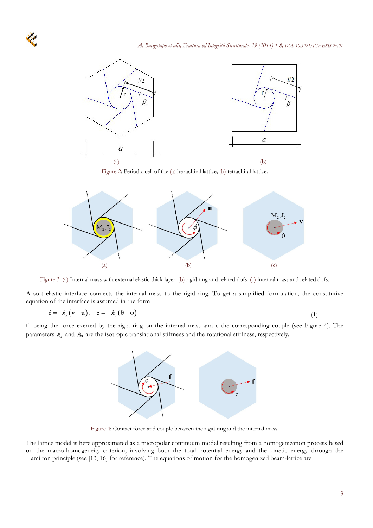

Figure 2: Periodic cell of the (a) hexachiral lattice; (b) tetrachiral lattice.



Figure 3: (a) Internal mass with external elastic thick layer; (b) rigid ring and related dofs; (c) internal mass and related dofs.

A soft elastic interface connects the internal mass to the rigid ring. To get a simplified formulation, the constitutive equation of the interface is assumed in the form

$$
\mathbf{f} = -k_d (\mathbf{v} - \mathbf{u}), \quad \mathbf{c} = -k_\theta (\theta - \phi) \tag{1}
$$

**f** being the force exerted by the rigid ring on the internal mass and c the corresponding couple (see Figure 4). The parameters  $k_d$  and  $k_\theta$  are the isotropic translational stiffness and the rotational stiffness, respectively.



Figure 4: Contact force and couple between the rigid ring and the internal mass.

The lattice model is here approximated as a micropolar continuum model resulting from a homogenization process based on the macro-homogeneity criterion, involving both the total potential energy and the kinetic energy through the Hamilton principle (see [13, 16] for reference). The equations of motion for the homogenized beam-lattice are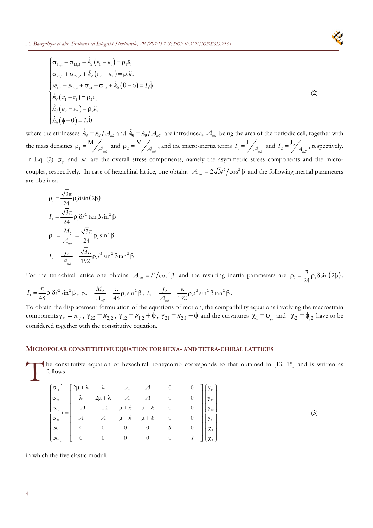

where the stiffnesses  $\hat{k}_d = k_d / A_{cell}$  and  $\hat{k}_0 = k_0 / A_{cell}$  are introduced,  $A_{cell}$  being the area of the periodic cell, together with the mass densities  $\rho_1 = M_1 / A_{\text{cell}}$  and  $\rho_2 = M_2 / A_{\text{cell}}$ , and the micro-inertia terms  $I_1 = \frac{J_1}{A_{\text{cell}}}$  and  $I_2 = \frac{J_2}{A_{\text{cell}}}$ , respectively. In Eq. (2)  $\sigma_{ij}$  and  $m_i$  are the overall stress components, namely the asymmetric stress components and the microcouples, respectively. In case of hexachiral lattice, one obtains  $A_{cell} = 2\sqrt{3}l^2/\cos^2\beta$  and the following inertial parameters are obtained

$$
\rho_1 = \frac{\sqrt{3}\pi}{24} \rho_s \delta \sin(2\beta)
$$
  
\n
$$
I_1 = \frac{\sqrt{3}\pi}{24} \rho_s \delta l^2 \tan \beta \sin^2 \beta
$$
  
\n
$$
\rho_2 = \frac{M_2}{A_{\text{cell}}} = \frac{\sqrt{3}\pi}{24} \rho_s \sin^2 \beta
$$
  
\n
$$
I_2 = \frac{J_2}{A_{\text{cell}}} = \frac{\sqrt{3}\pi}{192} \rho_s l^2 \sin^2 \beta \tan^2 \beta
$$

For the tetrachiral lattice one obtains  $A_{\text{cell}} = l^2 / \cos^2 \beta$  and the resulting inertia parameters are  $\rho_1 = \frac{\pi}{24} \rho_s \delta \sin(2\beta)$  $\rho_1 = \frac{\pi}{\sqrt{2}} \rho_1 \delta \sin(2\beta),$  $I_1 = \frac{\pi}{48} \rho_s \delta l^2 \sin^2 \beta$ ,  $\rho_2 = \frac{M_2}{A_{\text{all}}} = \frac{\pi}{48} \rho_i \sin^2 \beta$ *M A*  $\rho_2 = \frac{M_2}{A_{\text{all}}} = \frac{\pi}{48} \rho_i \sin^2 \beta$ ,  $I_2 = \frac{J_2}{A_{\text{all}}} = \frac{\pi}{192} \rho_i l^2 \sin^2 \beta \tan^2 \beta$  $I_2 = \frac{J_2}{I_1} = \frac{\pi}{\ln 2} \rho_i$ *A*  $=\frac{J_2}{\mu}=\frac{\pi}{2} \rho_l l^2 \sin^2 \beta \tan^2 \beta$ .

To obtain the displacement formulation of the equations of motion, the compatibility equations involving the macrostrain components  $\gamma_{11} = u_{1,1}$ ,  $\gamma_{22} = u_{2,2}$ ,  $\gamma_{12} = u_{1,2} + \phi$ ,  $\gamma_{21} = u_{2,1} - \phi$  and the curvatures  $\chi_1 = \phi_{1,1}$  and  $\chi_2 = \phi_{1,2}$  have to be considered together with the constitutive equation.

### **MICROPOLAR CONSTITUTIVE EQUATION FOR HEXA- AND TETRA-CHIRAL LATTICES**

he constitutive equation of hexachiral honeycomb corresponds to that obtained in [13, 15] and is written as follows follows

$$
\begin{bmatrix}\n\sigma_{11} \\
\sigma_{22} \\
\sigma_{13} \\
\sigma_{14} \\
\sigma_{21} \\
\sigma_{21} \\
\sigma_{21} \\
\sigma_{12} \\
\sigma_{21} \\
\sigma_{12} \\
\sigma_{21} \\
\sigma_{22} \\
\sigma_{21} \\
\sigma_{12} \\
\sigma_{22} \\
\sigma_{21} \\
\sigma_{22} \\
\sigma_{22} \\
\sigma_{21} \\
\sigma_{22} \\
\sigma_{22} \\
\sigma_{22} \\
\sigma_{21} \\
\sigma_{22} \\
\sigma_{22} \\
\sigma_{22} \\
\sigma_{22} \\
\sigma_{22} \\
\sigma_{22} \\
\sigma_{22} \\
\sigma_{22} \\
\sigma_{22} \\
\sigma_{22} \\
\sigma_{22} \\
\sigma_{22} \\
\sigma_{22} \\
\sigma_{22} \\
\sigma_{22} \\
\sigma_{22} \\
\sigma_{22} \\
\sigma_{22} \\
\sigma_{22} \\
\sigma_{22} \\
\sigma_{22} \\
\sigma_{22} \\
\sigma_{22} \\
\sigma_{22} \\
\sigma_{22} \\
\sigma_{22} \\
\sigma_{22} \\
\sigma_{22} \\
\sigma_{22} \\
\sigma_{22} \\
\sigma_{22} \\
\sigma_{22} \\
\sigma_{22} \\
\sigma_{22} \\
\sigma_{22} \\
\sigma_{22} \\
\sigma_{22} \\
\sigma_{22} \\
\sigma_{22} \\
\sigma_{22} \\
\sigma_{22} \\
\sigma_{22} \\
\sigma_{22} \\
\sigma_{22} \\
\sigma_{22} \\
\sigma_{22} \\
\sigma_{22} \\
\sigma_{22} \\
\sigma_{22} \\
\sigma_{22} \\
\sigma_{22} \\
\sigma_{22} \\
\sigma_{22} \\
\sigma_{22} \\
\sigma_{22} \\
\sigma_{22} \\
\sigma_{22} \\
\sigma_{22} \\
\sigma_{22} \\
\sigma_{22} \\
\sigma_{22} \\
\sigma_{22} \\
\sigma_{22} \\
\sigma_{22} \\
\sigma_{22} \\
\sigma_{22} \\
\sigma_{22} \\
\sigma_{22} \\
\sigma_{22} \\
\sigma_{22} \\
\sigma_{22} \\
\sigma_{22} \\
\sigma_{22} \\
\sigma_{22} \\
\sigma_{22} \\
\sigma_{22} \\
\sigma_{22} \\
\sigma_{22} \\
\sigma_{22} \\
\sigma_{22} \\
\sigma_{22} \\
\sigma_{22} \\
\sigma_{22} \\
\sigma_{22} \\
\sigma_{2
$$

in which the five elastic moduli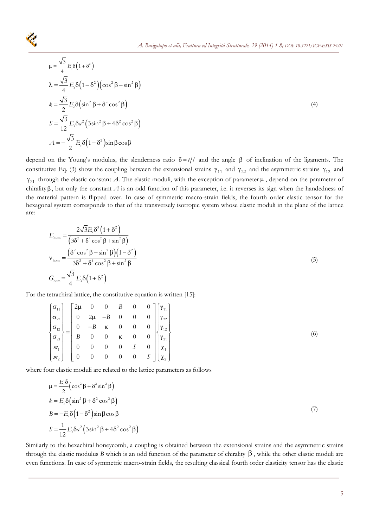

$$
\mu = \frac{\sqrt{3}}{4} E_{,} \delta \left( 1 + \delta^{2} \right)
$$
\n
$$
\lambda = \frac{\sqrt{3}}{4} E_{,} \delta \left( 1 - \delta^{2} \right) \left( \cos^{2} \beta - \sin^{2} \beta \right)
$$
\n
$$
k = \frac{\sqrt{3}}{2} E_{,} \delta \left( \sin^{2} \beta + \delta^{2} \cos^{2} \beta \right)
$$
\n
$$
S = \frac{\sqrt{3}}{12} E_{,} \delta a^{2} \left( 3 \sin^{2} \beta + 4 \delta^{2} \cos^{2} \beta \right)
$$
\n
$$
A = -\frac{\sqrt{3}}{2} E_{,} \delta \left( 1 - \delta^{2} \right) \sin \beta \cos \beta
$$
\n(4)

depend on the Young's modulus, the slenderness ratio  $\delta = t/l$  and the angle  $\beta$  of inclination of the ligaments. The constitutive Eq. (3) show the coupling between the extensional strains  $\gamma_{11}$  and  $\gamma_{22}$  and the asymmetric strains  $\gamma_{12}$  and  $\gamma_{21}$  through the elastic constant *A*. The elastic moduli, with the exception of parameter  $\mu$ , depend on the parameter of chirality  $\beta$ , but only the constant  $A$  is an odd function of this parameter, i.e. it reverses its sign when the handedness of the material pattern is flipped over. In case of symmetric macro-strain fields, the fourth order elastic tensor for the hexagonal system corresponds to that of the transversely isotropic system whose elastic moduli in the plane of the lattice are:

$$
E_{\text{hom}} = \frac{2\sqrt{3}E_s\delta^3\left(1+\delta^2\right)}{\left(3\delta^2 + \delta^4\cos^2\beta + \sin^2\beta\right)}
$$
  

$$
v_{\text{hom}} = \frac{\left(\delta^2\cos^2\beta - \sin^2\beta\right)\left(1-\delta^2\right)}{3\delta^2 + \delta^4\cos^2\beta + \sin^2\beta}
$$
  

$$
G_{\text{hom}} = \frac{\sqrt{3}}{4}E_s\delta\left(1+\delta^2\right)
$$
 (5)

For the tetrachiral lattice, the constitutive equation is written [15]:

|  | $\begin{bmatrix} \sigma_{11} \\ \sigma_{22} \\ \sigma_{12} \\ \sigma_{21} \\ m_1 \\ m_2 \end{bmatrix} = \begin{bmatrix} 2\mu & 0 & 0 & B & 0 & 0 \\ 0 & 2\mu & -B & 0 & 0 & 0 \\ 0 & -B & \kappa & 0 & 0 & 0 \\ B & 0 & 0 & \kappa & 0 & 0 \\ 0 & 0 & 0 & 0 & S & 0 \\ 0 & 0 & 0 & 0 & 0 & S \end{bmatrix} \begin{bmatrix} \gamma_{11} \\ \gamma_{22} \\ \gamma_{12} \\ \gamma_{11} \\ \gamma_{21} \\ \gamma_{12} \\ \gamma_{$ |  |  |  |
|--|--------------------------------------------------------------------------------------------------------------------------------------------------------------------------------------------------------------------------------------------------------------------------------------------------------------------------------------------------------------------------------------------------------------------------------|--|--|--|
|  |                                                                                                                                                                                                                                                                                                                                                                                                                                |  |  |  |
|  |                                                                                                                                                                                                                                                                                                                                                                                                                                |  |  |  |
|  |                                                                                                                                                                                                                                                                                                                                                                                                                                |  |  |  |
|  |                                                                                                                                                                                                                                                                                                                                                                                                                                |  |  |  |

where four elastic moduli are related to the lattice parameters as follows

$$
\mu = \frac{E_{\gamma}\delta}{2} \left( \cos^{2} \beta + \delta^{2} \sin^{2} \beta \right)
$$
  
\n
$$
k = E_{\gamma}\delta \left( \sin^{2} \beta + \delta^{2} \cos^{2} \beta \right)
$$
  
\n
$$
B = -E_{\gamma}\delta \left( 1 - \delta^{2} \right) \sin \beta \cos \beta
$$
  
\n
$$
S = \frac{1}{12} E_{\gamma} \delta a^{2} \left( 3 \sin^{2} \beta + 4 \delta^{2} \cos^{2} \beta \right)
$$
 (7)

Similarly to the hexachiral honeycomb, a coupling is obtained between the extensional strains and the asymmetric strains through the elastic modulus *B* which is an odd function of the parameter of chirality  $\beta$ , while the other elastic moduli are even functions. In case of symmetric macro-strain fields, the resulting classical fourth order elasticity tensor has the elastic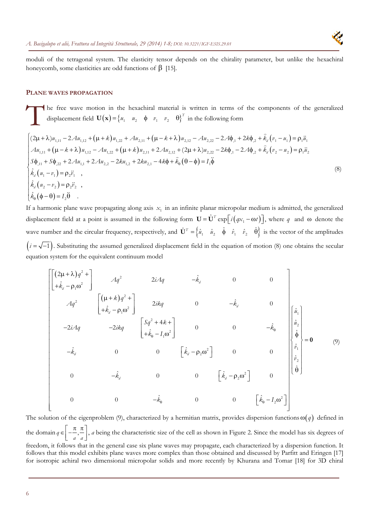moduli of the tetragonal system. The elasticity tensor depends on the chirality parameter, but unlike the hexachiral honeycomb, some elasticities are odd functions of  $\beta$  [15].

#### **PLANE WAVES PROPAGATION**

he free wave motion in the hexachiral material is written in terms of the components of the generalized displacement field  $\mathbf{U}(\mathbf{x}) = \begin{cases} u_1 & u_2 \end{cases} \phi \phi \phi_1 \phi_2 \phi_2 \phi_1^T$  in the following form The

$$
\begin{cases}\n(2\mu + \lambda)u_{1,11} - 2Au_{1,12} + (\mu + k)u_{1,22} + Au_{2,11} + (\mu - k + \lambda)u_{2,12} - Au_{2,22} - 2A\phi_{11} + 2k\phi_{2} + \hat{k}_{d}(v_{1} - u_{1}) = \rho_{1}\ddot{u}_{1} \\
Au_{1,11} + (\mu - k + \lambda)u_{1,12} - Au_{1,22} + (\mu + k)u_{2,11} + 2Au_{2,12} + (2\mu + \lambda)u_{2,22} - 2k\phi_{11} - 2A\phi_{2} + \hat{k}_{d}(v_{2} - u_{2}) = \rho_{1}\ddot{u}_{2} \\
S\phi_{11} + S\phi_{22} + 2Au_{11} + 2Au_{22} - 2ku_{12} + 2ku_{21} - 4k\phi + \hat{k}_{\theta}(\theta - \phi) = I_{1}\ddot{\phi} \\
\hat{k}_{d}(u_{1} - v_{1}) = \rho_{2}\ddot{v}_{1}, \\
\hat{k}_{d}(u_{2} - v_{2}) = \rho_{2}\ddot{v}_{2}, \\
\hat{k}_{\theta}(\phi - \theta) = I_{2}\ddot{\theta}.\n\end{cases}
$$
\n(8)

If a harmonic plane wave propagating along axis  $x<sub>1</sub>$  in an infinite planar micropolar medium is admitted, the generalized displacement field at a point is assumed in the following form  $\mathbf{U} = \hat{\mathbf{U}}^T \exp\left[i\left(qx_1 - \omega t\right)\right]$ , where *q* and  $\omega$  denote the wave number and the circular frequency, respectively, and  $\hat{\mathbf{U}}^T = \begin{cases} \hat{a}_1 & \hat{a}_2 \\ \hat{a}_3 & \hat{\phi} \\ \hat{a}_1 & \hat{b}_3 \end{cases}$  is the vector of the amplitudes  $(i = \sqrt{-1})$ . Substituting the assumed generalized displacement field in the equation of motion (8) one obtains the secular equation system for the equivalent continuum model

$$
\begin{bmatrix}\n(2\mu + \lambda)q^{2} + \\
\left[\frac{1}{2}k_{a} - \rho_{1}\omega^{2}\right] & Aq^{2} & 2iAq & -k_{d} & 0 & 0 \\
Aq^{2} & \left[\frac{(\mu + k)q^{2} + 1}{2ikq} - \frac{2ikq}{2ikq} & 0 & -k_{d} & 0 \\
-2iAq & -2ikq & \left[\frac{Sq^{2} + 4k + 1}{k_{0} - I_{1}\omega^{2}}\right] & 0 & 0 & -k_{0} & 0 \\
-\frac{k_{d}}{4} & 0 & 0 & \left[\frac{k_{d}}{4} - \rho_{2}\omega^{2}\right] & 0 & 0 & 0 \\
0 & -k_{d} & 0 & 0 & \left[\frac{k_{d}}{4} - \rho_{2}\omega^{2}\right] & 0 & 0 \\
0 & 0 & -k_{d} & 0 & 0 & \left[\frac{k_{d}}{4} - \rho_{2}\omega^{2}\right] & 0 \\
0 & 0 & -k_{0} & 0 & 0 & \left[\frac{k_{d}}{4} - \rho_{2}\omega^{2}\right]\n\end{bmatrix}
$$
\n(9)

The solution of the eigenproblem (9), characterized by a hermitian matrix, provides dispersion functions  $\omega(q)$  defined in the domain  $q \in \left[-\frac{1}{q}\right]$ . *a a*  $\epsilon \left[ -\frac{\pi}{a}, \frac{\pi}{a} \right]$ , *a* being the characteristic size of the cell as shown in Figure 2. Since the model has six degrees of freedom, it follows that in the general case six plane waves may propagate, each characterized by a dispersion function. It

follows that this model exhibits plane waves more complex than those obtained and discussed by Parfitt and Eringen [17] for isotropic achiral two dimensional micropolar solids and more recently by Khurana and Tomar [18] for 3D chiral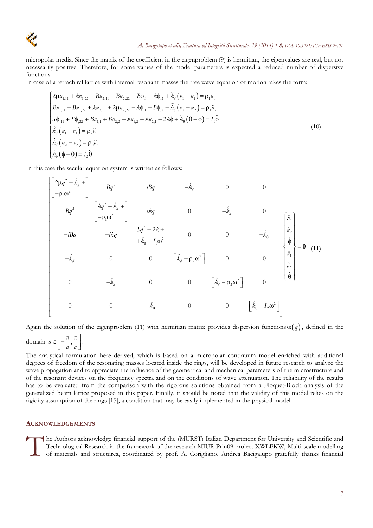

micropolar media. Since the matrix of the coefficient in the eigenproblem (9) is hermitian, the eigenvalues are real, but not necessarily positive. Therefore, for some values of the model parameters is expected a reduced number of dispersive functions.

In case of a tetrachiral lattice with internal resonant masses the free wave equation of motion takes the form:

$$
\begin{cases}\n2\mu u_{1,11} + k u_{1,22} + B u_{2,11} - B u_{2,22} - B \phi_{11} + k \phi_{21} + \hat{k}_d (v_1 - u_1) = \rho_1 \ddot{u}_1 \\
B u_{1,11} - B u_{1,22} + k u_{2,11} + 2 \mu u_{2,22} - k \phi_{11} - B \phi_{21} + \hat{k}_d (v_2 - u_2) = \rho_1 \ddot{u}_2 \\
S \phi_{111} + S \phi_{22} + B u_{11} + B u_{2,2} - k u_{1,2} + k u_{2,1} - 2k \phi + \hat{k}_\theta (\theta - \phi) = I_1 \ddot{\phi} \\
\hat{k}_d (u_1 - v_1) = \rho_2 \ddot{v}_1 \\
\hat{k}_d (u_2 - v_2) = \rho_2 \ddot{v}_2 \\
\hat{k}_\theta (\phi - \theta) = I_2 \ddot{\theta}\n\end{cases}
$$
\n(10)

In this case the secular equation system is written as follows:

$$
\begin{bmatrix} 2\mu q^{2} + \hat{k}_{d} + \\ -\rho_{1}\omega^{2} & Bq^{2} & iBq & -\hat{k}_{d} & 0 & 0 \\ & Bq^{2} & \begin{bmatrix} kq^{2} + \hat{k}_{d} + \\ -\rho_{1}\omega^{2} \end{bmatrix} & ikg & 0 & -\hat{k}_{d} & 0 \\ & ikg & 0 & -\hat{k}_{d} & 0 \\ & -iBq & -ikq & \begin{bmatrix} Sq^{2} + 2k + \\ +\hat{k}_{0} - I_{1}\omega^{2} \end{bmatrix} & 0 & 0 & -\hat{k}_{0} & \begin{bmatrix} \hat{a}_{1} \\ \hat{a}_{2} \\ \hat{\varphi} \\ \hat{\varphi} \\ \hat{\varphi} \\ \hat{\varphi} \\ 0 & -\hat{k}_{d} & 0 & 0 & \begin{bmatrix} \hat{k}_{d} - \rho_{2}\omega^{2} \end{bmatrix} & 0 & 0 \\ & 0 & -\hat{k}_{d} & 0 & 0 & \begin{bmatrix} \hat{k}_{d} - \rho_{2}\omega^{2} \end{bmatrix} & 0 \\ & 0 & 0 & -\hat{k}_{0} & 0 & 0 & \begin{bmatrix} \hat{k}_{e} - I_{2}\omega^{2} \end{bmatrix} & 0 \\ & 0 & 0 & -\hat{k}_{0} & 0 & 0 & \begin{bmatrix} \hat{k}_{e} - I_{2}\omega^{2} \end{bmatrix} & 0 \end{bmatrix}
$$

Again the solution of the eigenproblem (11) with hermitian matrix provides dispersion functions  $\omega(q)$ , defined in the

domain  $q \in \left[-\frac{\pi}{2}\right]$ *a a*  $\in \left[-\frac{\pi}{a}, \frac{\pi}{a}\right].$ 

The analytical formulation here derived, which is based on a micropolar continuum model enriched with additional degrees of freedom of the resonating masses located inside the rings, will be developed in future research to analyze the wave propagation and to appreciate the influence of the geometrical and mechanical parameters of the microstructure and of the resonant devices on the frequency spectra and on the conditions of wave attenuation. The reliability of the results has to be evaluated from the comparison with the rigorous solutions obtained from a Floquet-Bloch analysis of the generalized beam lattice proposed in this paper. Finally, it should be noted that the validity of this model relies on the rigidity assumption of the rings [15], a condition that may be easily implemented in the physical model.

#### **ACKNOWLEDGEMENTS**

The Authors acknowledge financial support of the (MURST) Italian Department for University and Scientific and Technological Research in the framework of the research MIUR Prin09 project XWLFKW, Multi-scale modelling of mat